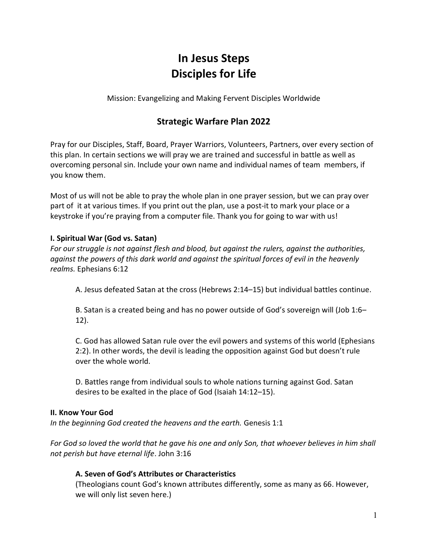# In Jesus Steps Disciples for Life

Mission: Evangelizing and Making Fervent Disciples Worldwide

## Strategic Warfare Plan 2022

Pray for our Disciples, Staff, Board, Prayer Warriors, Volunteers, Partners, over every section of this plan. In certain sections we will pray we are trained and successful in battle as well as overcoming personal sin. Include your own name and individual names of team members, if you know them.

Most of us will not be able to pray the whole plan in one prayer session, but we can pray over part of it at various times. If you print out the plan, use a post-it to mark your place or a keystroke if you're praying from a computer file. Thank you for going to war with us!

## I. Spiritual War (God vs. Satan)

For our struggle is not against flesh and blood, but against the rulers, against the authorities, against the powers of this dark world and against the spiritual forces of evil in the heavenly realms. Ephesians 6:12

A. Jesus defeated Satan at the cross (Hebrews 2:14–15) but individual battles continue.

B. Satan is a created being and has no power outside of God's sovereign will (Job 1:6– 12).

C. God has allowed Satan rule over the evil powers and systems of this world (Ephesians 2:2). In other words, the devil is leading the opposition against God but doesn't rule over the whole world.

D. Battles range from individual souls to whole nations turning against God. Satan desires to be exalted in the place of God (Isaiah 14:12–15).

## II. Know Your God

In the beginning God created the heavens and the earth. Genesis 1:1

For God so loved the world that he gave his one and only Son, that whoever believes in him shall not perish but have eternal life. John 3:16

## A. Seven of God's Attributes or Characteristics

(Theologians count God's known attributes differently, some as many as 66. However, we will only list seven here.)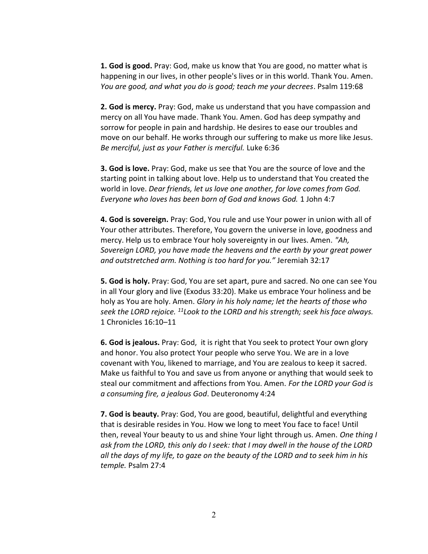**1. God is good.** Pray: God, make us know that You are good, no matter what is happening in our lives, in other people's lives or in this world. Thank You. Amen. You are good, and what you do is good; teach me your decrees. Psalm 119:68

2. God is mercy. Pray: God, make us understand that you have compassion and mercy on all You have made. Thank You. Amen. God has deep sympathy and sorrow for people in pain and hardship. He desires to ease our troubles and move on our behalf. He works through our suffering to make us more like Jesus. Be merciful, just as your Father is merciful. Luke 6:36

3. God is love. Pray: God, make us see that You are the source of love and the starting point in talking about love. Help us to understand that You created the world in love. Dear friends, let us love one another, for love comes from God. Everyone who loves has been born of God and knows God. 1 John 4:7

4. God is sovereign. Pray: God, You rule and use Your power in union with all of Your other attributes. Therefore, You govern the universe in love, goodness and mercy. Help us to embrace Your holy sovereignty in our lives. Amen. "Ah, Sovereign LORD, you have made the heavens and the earth by your great power and outstretched arm. Nothing is too hard for you." Jeremiah 32:17

5. God is holy. Pray: God, You are set apart, pure and sacred. No one can see You in all Your glory and live (Exodus 33:20). Make us embrace Your holiness and be holy as You are holy. Amen. Glory in his holy name; let the hearts of those who seek the LORD rejoice.  $^{11}$ Look to the LORD and his strength; seek his face always. 1 Chronicles 16:10–11

6. God is jealous. Pray: God, it is right that You seek to protect Your own glory and honor. You also protect Your people who serve You. We are in a love covenant with You, likened to marriage, and You are zealous to keep it sacred. Make us faithful to You and save us from anyone or anything that would seek to steal our commitment and affections from You. Amen. For the LORD your God is a consuming fire, a jealous God. Deuteronomy 4:24

7. God is beauty. Pray: God, You are good, beautiful, delightful and everything that is desirable resides in You. How we long to meet You face to face! Until then, reveal Your beauty to us and shine Your light through us. Amen. One thing I ask from the LORD, this only do I seek: that I may dwell in the house of the LORD all the days of my life, to gaze on the beauty of the LORD and to seek him in his temple. Psalm 27:4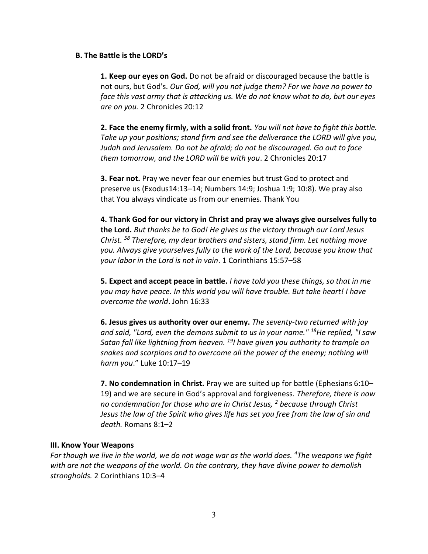#### B. The Battle is the LORD's

1. Keep our eyes on God. Do not be afraid or discouraged because the battle is not ours, but God's. Our God, will you not judge them? For we have no power to face this vast army that is attacking us. We do not know what to do, but our eyes are on you. 2 Chronicles 20:12

2. Face the enemy firmly, with a solid front. You will not have to fight this battle. Take up your positions; stand firm and see the deliverance the LORD will give you, Judah and Jerusalem. Do not be afraid; do not be discouraged. Go out to face them tomorrow, and the LORD will be with you. 2 Chronicles 20:17

**3. Fear not.** Pray we never fear our enemies but trust God to protect and preserve us (Exodus14:13–14; Numbers 14:9; Joshua 1:9; 10:8). We pray also that You always vindicate us from our enemies. Thank You

4. Thank God for our victory in Christ and pray we always give ourselves fully to the Lord. But thanks be to God! He gives us the victory through our Lord Jesus Christ. <sup>58</sup> Therefore, my dear brothers and sisters, stand firm. Let nothing move you. Always give yourselves fully to the work of the Lord, because you know that your labor in the Lord is not in vain. 1 Corinthians 15:57–58

5. Expect and accept peace in battle. I have told you these things, so that in me you may have peace. In this world you will have trouble. But take heart! I have overcome the world. John 16:33

6. Jesus gives us authority over our enemy. The seventy-two returned with joy and said, "Lord, even the demons submit to us in your name." <sup>18</sup>He replied, "I saw Satan fall like lightning from heaven.  $^{19}$ I have given you authority to trample on snakes and scorpions and to overcome all the power of the enemy; nothing will harm you." Luke 10:17–19

7. No condemnation in Christ. Pray we are suited up for battle (Ephesians 6:10– 19) and we are secure in God's approval and forgiveness. Therefore, there is now no condemnation for those who are in Christ Jesus,  $^2$  because through Christ Jesus the law of the Spirit who gives life has set you free from the law of sin and death. Romans 8:1–2

## III. Know Your Weapons

For though we live in the world, we do not wage war as the world does.  $4$ The weapons we fight with are not the weapons of the world. On the contrary, they have divine power to demolish strongholds. 2 Corinthians 10:3–4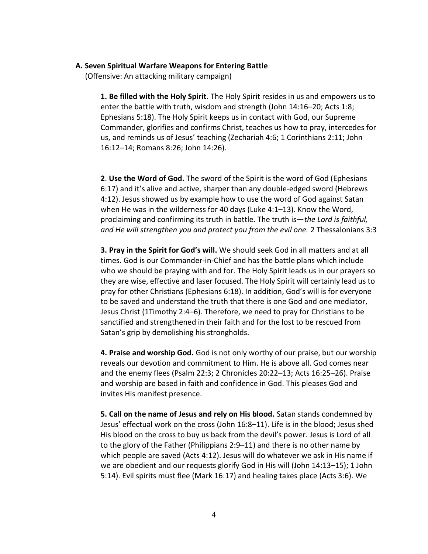#### A. Seven Spiritual Warfare Weapons for Entering Battle

(Offensive: An attacking military campaign)

1. Be filled with the Holy Spirit. The Holy Spirit resides in us and empowers us to enter the battle with truth, wisdom and strength (John 14:16–20; Acts 1:8; Ephesians 5:18). The Holy Spirit keeps us in contact with God, our Supreme Commander, glorifies and confirms Christ, teaches us how to pray, intercedes for us, and reminds us of Jesus' teaching (Zechariah 4:6; 1 Corinthians 2:11; John 16:12–14; Romans 8:26; John 14:26).

2. Use the Word of God. The sword of the Spirit is the word of God (Ephesians 6:17) and it's alive and active, sharper than any double-edged sword (Hebrews 4:12). Jesus showed us by example how to use the word of God against Satan when He was in the wilderness for 40 days (Luke 4:1–13). Know the Word, proclaiming and confirming its truth in battle. The truth is—the Lord is faithful, and He will strengthen you and protect you from the evil one. 2 Thessalonians 3:3

3. Pray in the Spirit for God's will. We should seek God in all matters and at all times. God is our Commander-in-Chief and has the battle plans which include who we should be praying with and for. The Holy Spirit leads us in our prayers so they are wise, effective and laser focused. The Holy Spirit will certainly lead us to pray for other Christians (Ephesians 6:18). In addition, God's will is for everyone to be saved and understand the truth that there is one God and one mediator, Jesus Christ (1Timothy 2:4–6). Therefore, we need to pray for Christians to be sanctified and strengthened in their faith and for the lost to be rescued from Satan's grip by demolishing his strongholds.

4. Praise and worship God. God is not only worthy of our praise, but our worship reveals our devotion and commitment to Him. He is above all. God comes near and the enemy flees (Psalm 22:3; 2 Chronicles 20:22–13; Acts 16:25–26). Praise and worship are based in faith and confidence in God. This pleases God and invites His manifest presence.

5. Call on the name of Jesus and rely on His blood. Satan stands condemned by Jesus' effectual work on the cross (John 16:8–11). Life is in the blood; Jesus shed His blood on the cross to buy us back from the devil's power. Jesus is Lord of all to the glory of the Father (Philippians 2:9–11) and there is no other name by which people are saved (Acts 4:12). Jesus will do whatever we ask in His name if we are obedient and our requests glorify God in His will (John 14:13–15); 1 John 5:14). Evil spirits must flee (Mark 16:17) and healing takes place (Acts 3:6). We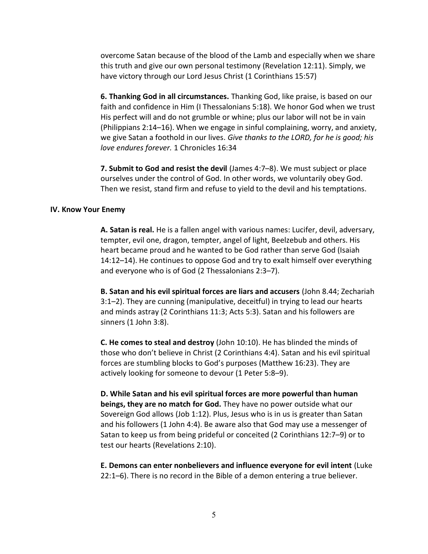overcome Satan because of the blood of the Lamb and especially when we share this truth and give our own personal testimony (Revelation 12:11). Simply, we have victory through our Lord Jesus Christ (1 Corinthians 15:57)

6. Thanking God in all circumstances. Thanking God, like praise, is based on our faith and confidence in Him (I Thessalonians 5:18). We honor God when we trust His perfect will and do not grumble or whine; plus our labor will not be in vain (Philippians 2:14–16). When we engage in sinful complaining, worry, and anxiety, we give Satan a foothold in our lives. Give thanks to the LORD, for he is good; his love endures forever. 1 Chronicles 16:34

7. Submit to God and resist the devil (James 4:7–8). We must subject or place ourselves under the control of God. In other words, we voluntarily obey God. Then we resist, stand firm and refuse to yield to the devil and his temptations.

#### IV. Know Your Enemy

A. Satan is real. He is a fallen angel with various names: Lucifer, devil, adversary, tempter, evil one, dragon, tempter, angel of light, Beelzebub and others. His heart became proud and he wanted to be God rather than serve God (Isaiah 14:12–14). He continues to oppose God and try to exalt himself over everything and everyone who is of God (2 Thessalonians 2:3–7).

B. Satan and his evil spiritual forces are liars and accusers (John 8.44; Zechariah 3:1–2). They are cunning (manipulative, deceitful) in trying to lead our hearts and minds astray (2 Corinthians 11:3; Acts 5:3). Satan and his followers are sinners (1 John 3:8).

C. He comes to steal and destroy (John 10:10). He has blinded the minds of those who don't believe in Christ (2 Corinthians 4:4). Satan and his evil spiritual forces are stumbling blocks to God's purposes (Matthew 16:23). They are actively looking for someone to devour (1 Peter 5:8–9).

D. While Satan and his evil spiritual forces are more powerful than human beings, they are no match for God. They have no power outside what our Sovereign God allows (Job 1:12). Plus, Jesus who is in us is greater than Satan and his followers (1 John 4:4). Be aware also that God may use a messenger of Satan to keep us from being prideful or conceited (2 Corinthians 12:7–9) or to test our hearts (Revelations 2:10).

E. Demons can enter nonbelievers and influence everyone for evil intent (Luke 22:1–6). There is no record in the Bible of a demon entering a true believer.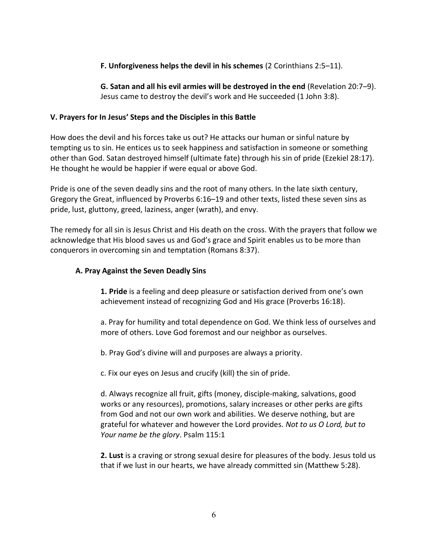## F. Unforgiveness helps the devil in his schemes (2 Corinthians 2:5–11).

G. Satan and all his evil armies will be destroyed in the end (Revelation 20:7–9). Jesus came to destroy the devil's work and He succeeded (1 John 3:8).

## V. Prayers for In Jesus' Steps and the Disciples in this Battle

How does the devil and his forces take us out? He attacks our human or sinful nature by tempting us to sin. He entices us to seek happiness and satisfaction in someone or something other than God. Satan destroyed himself (ultimate fate) through his sin of pride (Ezekiel 28:17). He thought he would be happier if were equal or above God.

Pride is one of the seven deadly sins and the root of many others. In the late sixth century, Gregory the Great, influenced by Proverbs 6:16–19 and other texts, listed these seven sins as pride, lust, gluttony, greed, laziness, anger (wrath), and envy.

The remedy for all sin is Jesus Christ and His death on the cross. With the prayers that follow we acknowledge that His blood saves us and God's grace and Spirit enables us to be more than conquerors in overcoming sin and temptation (Romans 8:37).

## A. Pray Against the Seven Deadly Sins

1. Pride is a feeling and deep pleasure or satisfaction derived from one's own achievement instead of recognizing God and His grace (Proverbs 16:18).

a. Pray for humility and total dependence on God. We think less of ourselves and more of others. Love God foremost and our neighbor as ourselves.

b. Pray God's divine will and purposes are always a priority.

c. Fix our eyes on Jesus and crucify (kill) the sin of pride.

d. Always recognize all fruit, gifts (money, disciple-making, salvations, good works or any resources), promotions, salary increases or other perks are gifts from God and not our own work and abilities. We deserve nothing, but are grateful for whatever and however the Lord provides. Not to us O Lord, but to Your name be the glory. Psalm 115:1

2. Lust is a craving or strong sexual desire for pleasures of the body. Jesus told us that if we lust in our hearts, we have already committed sin (Matthew 5:28).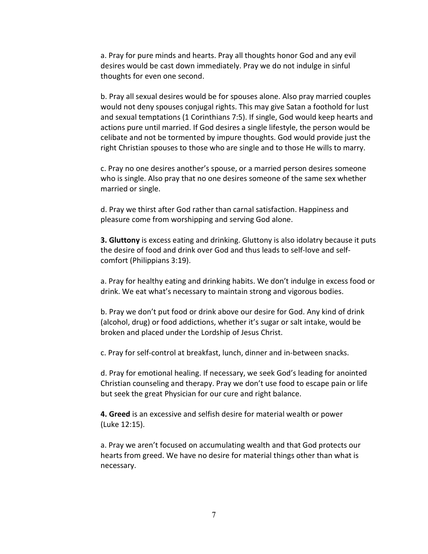a. Pray for pure minds and hearts. Pray all thoughts honor God and any evil desires would be cast down immediately. Pray we do not indulge in sinful thoughts for even one second.

b. Pray all sexual desires would be for spouses alone. Also pray married couples would not deny spouses conjugal rights. This may give Satan a foothold for lust and sexual temptations (1 Corinthians 7:5). If single, God would keep hearts and actions pure until married. If God desires a single lifestyle, the person would be celibate and not be tormented by impure thoughts. God would provide just the right Christian spouses to those who are single and to those He wills to marry.

c. Pray no one desires another's spouse, or a married person desires someone who is single. Also pray that no one desires someone of the same sex whether married or single.

d. Pray we thirst after God rather than carnal satisfaction. Happiness and pleasure come from worshipping and serving God alone.

**3. Gluttony** is excess eating and drinking. Gluttony is also idolatry because it puts the desire of food and drink over God and thus leads to self-love and selfcomfort (Philippians 3:19).

a. Pray for healthy eating and drinking habits. We don't indulge in excess food or drink. We eat what's necessary to maintain strong and vigorous bodies.

b. Pray we don't put food or drink above our desire for God. Any kind of drink (alcohol, drug) or food addictions, whether it's sugar or salt intake, would be broken and placed under the Lordship of Jesus Christ.

c. Pray for self-control at breakfast, lunch, dinner and in-between snacks.

d. Pray for emotional healing. If necessary, we seek God's leading for anointed Christian counseling and therapy. Pray we don't use food to escape pain or life but seek the great Physician for our cure and right balance.

**4. Greed** is an excessive and selfish desire for material wealth or power (Luke 12:15).

a. Pray we aren't focused on accumulating wealth and that God protects our hearts from greed. We have no desire for material things other than what is necessary.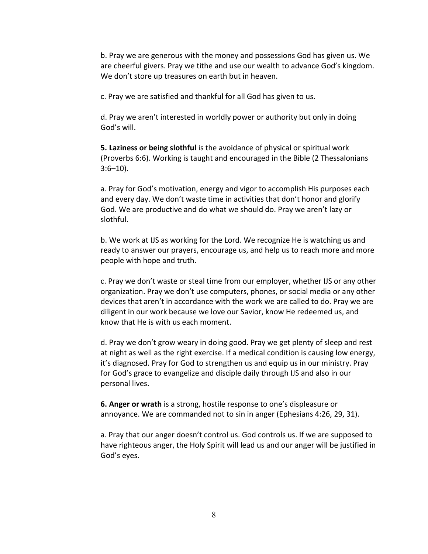b. Pray we are generous with the money and possessions God has given us. We are cheerful givers. Pray we tithe and use our wealth to advance God's kingdom. We don't store up treasures on earth but in heaven.

c. Pray we are satisfied and thankful for all God has given to us.

d. Pray we aren't interested in worldly power or authority but only in doing God's will.

5. Laziness or being slothful is the avoidance of physical or spiritual work (Proverbs 6:6). Working is taught and encouraged in the Bible (2 Thessalonians  $3:6-10$ ).

a. Pray for God's motivation, energy and vigor to accomplish His purposes each and every day. We don't waste time in activities that don't honor and glorify God. We are productive and do what we should do. Pray we aren't lazy or slothful.

b. We work at IJS as working for the Lord. We recognize He is watching us and ready to answer our prayers, encourage us, and help us to reach more and more people with hope and truth.

c. Pray we don't waste or steal time from our employer, whether IJS or any other organization. Pray we don't use computers, phones, or social media or any other devices that aren't in accordance with the work we are called to do. Pray we are diligent in our work because we love our Savior, know He redeemed us, and know that He is with us each moment.

d. Pray we don't grow weary in doing good. Pray we get plenty of sleep and rest at night as well as the right exercise. If a medical condition is causing low energy, it's diagnosed. Pray for God to strengthen us and equip us in our ministry. Pray for God's grace to evangelize and disciple daily through IJS and also in our personal lives.

6. Anger or wrath is a strong, hostile response to one's displeasure or annoyance. We are commanded not to sin in anger (Ephesians 4:26, 29, 31).

a. Pray that our anger doesn't control us. God controls us. If we are supposed to have righteous anger, the Holy Spirit will lead us and our anger will be justified in God's eyes.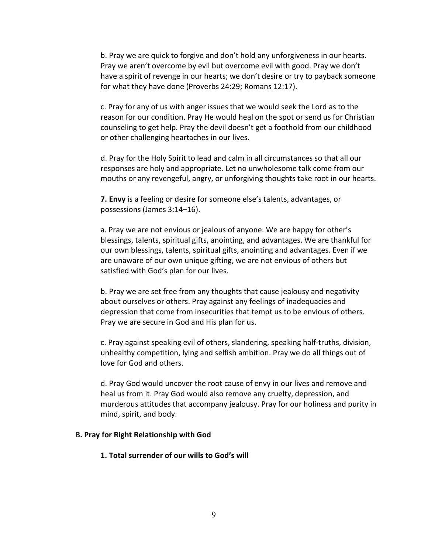b. Pray we are quick to forgive and don't hold any unforgiveness in our hearts. Pray we aren't overcome by evil but overcome evil with good. Pray we don't have a spirit of revenge in our hearts; we don't desire or try to payback someone for what they have done (Proverbs 24:29; Romans 12:17).

c. Pray for any of us with anger issues that we would seek the Lord as to the reason for our condition. Pray He would heal on the spot or send us for Christian counseling to get help. Pray the devil doesn't get a foothold from our childhood or other challenging heartaches in our lives.

d. Pray for the Holy Spirit to lead and calm in all circumstances so that all our responses are holy and appropriate. Let no unwholesome talk come from our mouths or any revengeful, angry, or unforgiving thoughts take root in our hearts.

**7. Envy** is a feeling or desire for someone else's talents, advantages, or possessions (James 3:14–16).

a. Pray we are not envious or jealous of anyone. We are happy for other's blessings, talents, spiritual gifts, anointing, and advantages. We are thankful for our own blessings, talents, spiritual gifts, anointing and advantages. Even if we are unaware of our own unique gifting, we are not envious of others but satisfied with God's plan for our lives.

b. Pray we are set free from any thoughts that cause jealousy and negativity about ourselves or others. Pray against any feelings of inadequacies and depression that come from insecurities that tempt us to be envious of others. Pray we are secure in God and His plan for us.

c. Pray against speaking evil of others, slandering, speaking half-truths, division, unhealthy competition, lying and selfish ambition. Pray we do all things out of love for God and others.

d. Pray God would uncover the root cause of envy in our lives and remove and heal us from it. Pray God would also remove any cruelty, depression, and murderous attitudes that accompany jealousy. Pray for our holiness and purity in mind, spirit, and body.

#### B. Pray for Right Relationship with God

#### 1. Total surrender of our wills to God's will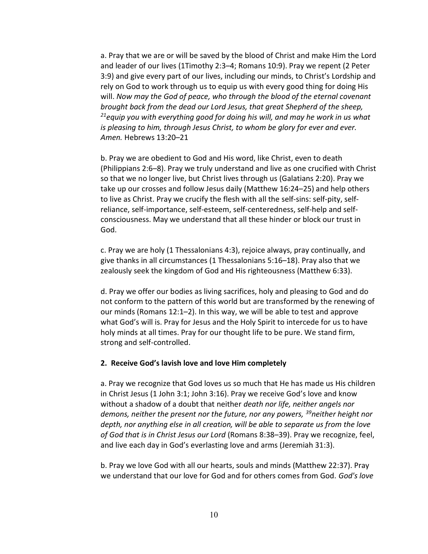a. Pray that we are or will be saved by the blood of Christ and make Him the Lord and leader of our lives (1Timothy 2:3–4; Romans 10:9). Pray we repent (2 Peter 3:9) and give every part of our lives, including our minds, to Christ's Lordship and rely on God to work through us to equip us with every good thing for doing His will. Now may the God of peace, who through the blood of the eternal covenant brought back from the dead our Lord Jesus, that great Shepherd of the sheep,  $2^{2}$ equip you with everything good for doing his will, and may he work in us what is pleasing to him, through Jesus Christ, to whom be glory for ever and ever. Amen. Hebrews 13:20–21

b. Pray we are obedient to God and His word, like Christ, even to death (Philippians 2:6–8). Pray we truly understand and live as one crucified with Christ so that we no longer live, but Christ lives through us (Galatians 2:20). Pray we take up our crosses and follow Jesus daily (Matthew 16:24–25) and help others to live as Christ. Pray we crucify the flesh with all the self-sins: self-pity, selfreliance, self-importance, self-esteem, self-centeredness, self-help and selfconsciousness. May we understand that all these hinder or block our trust in God.

c. Pray we are holy (1 Thessalonians 4:3), rejoice always, pray continually, and give thanks in all circumstances (1 Thessalonians 5:16–18). Pray also that we zealously seek the kingdom of God and His righteousness (Matthew 6:33).

d. Pray we offer our bodies as living sacrifices, holy and pleasing to God and do not conform to the pattern of this world but are transformed by the renewing of our minds (Romans 12:1–2). In this way, we will be able to test and approve what God's will is. Pray for Jesus and the Holy Spirit to intercede for us to have holy minds at all times. Pray for our thought life to be pure. We stand firm, strong and self-controlled.

#### 2. Receive God's lavish love and love Him completely

a. Pray we recognize that God loves us so much that He has made us His children in Christ Jesus (1 John 3:1; John 3:16). Pray we receive God's love and know without a shadow of a doubt that neither death nor life, neither angels nor demons, neither the present nor the future, nor any powers, <sup>39</sup>neither height nor depth, nor anything else in all creation, will be able to separate us from the love of God that is in Christ Jesus our Lord (Romans 8:38–39). Pray we recognize, feel, and live each day in God's everlasting love and arms (Jeremiah 31:3).

b. Pray we love God with all our hearts, souls and minds (Matthew 22:37). Pray we understand that our love for God and for others comes from God. God's love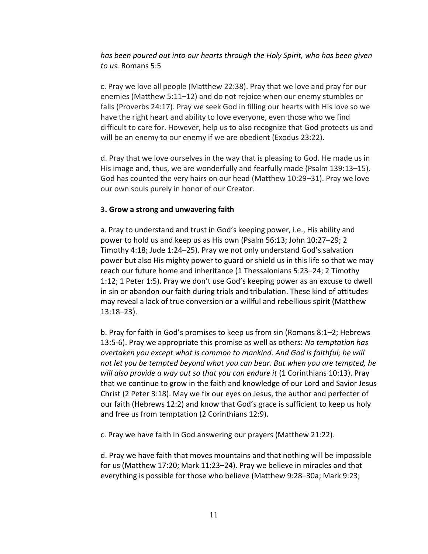## has been poured out into our hearts through the Holy Spirit, who has been given to us. Romans 5:5

c. Pray we love all people (Matthew 22:38). Pray that we love and pray for our enemies (Matthew 5:11–12) and do not rejoice when our enemy stumbles or falls (Proverbs 24:17). Pray we seek God in filling our hearts with His love so we have the right heart and ability to love everyone, even those who we find difficult to care for. However, help us to also recognize that God protects us and will be an enemy to our enemy if we are obedient (Exodus 23:22).

d. Pray that we love ourselves in the way that is pleasing to God. He made us in His image and, thus, we are wonderfully and fearfully made (Psalm 139:13–15). God has counted the very hairs on our head (Matthew 10:29–31). Pray we love our own souls purely in honor of our Creator.

#### 3. Grow a strong and unwavering faith

a. Pray to understand and trust in God's keeping power, i.e., His ability and power to hold us and keep us as His own (Psalm 56:13; John 10:27–29; 2 Timothy 4:18; Jude 1:24–25). Pray we not only understand God's salvation power but also His mighty power to guard or shield us in this life so that we may reach our future home and inheritance (1 Thessalonians 5:23–24; 2 Timothy 1:12; 1 Peter 1:5). Pray we don't use God's keeping power as an excuse to dwell in sin or abandon our faith during trials and tribulation. These kind of attitudes may reveal a lack of true conversion or a willful and rebellious spirit (Matthew 13:18–23).

b. Pray for faith in God's promises to keep us from sin (Romans 8:1–2; Hebrews 13:5-6). Pray we appropriate this promise as well as others: No temptation has overtaken you except what is common to mankind. And God is faithful; he will not let you be tempted beyond what you can bear. But when you are tempted, he will also provide a way out so that you can endure it (1 Corinthians 10:13). Pray that we continue to grow in the faith and knowledge of our Lord and Savior Jesus Christ (2 Peter 3:18). May we fix our eyes on Jesus, the author and perfecter of our faith (Hebrews 12:2) and know that God's grace is sufficient to keep us holy and free us from temptation (2 Corinthians 12:9).

c. Pray we have faith in God answering our prayers (Matthew 21:22).

d. Pray we have faith that moves mountains and that nothing will be impossible for us (Matthew 17:20; Mark 11:23–24). Pray we believe in miracles and that everything is possible for those who believe (Matthew 9:28–30a; Mark 9:23;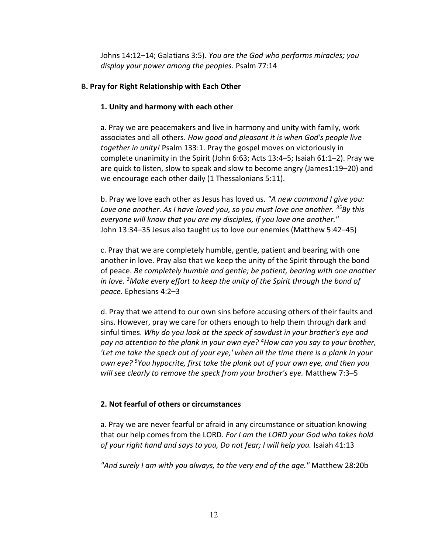Johns 14:12–14; Galatians 3:5). You are the God who performs miracles; you display your power among the peoples. Psalm 77:14

## B. Pray for Right Relationship with Each Other

## 1. Unity and harmony with each other

a. Pray we are peacemakers and live in harmony and unity with family, work associates and all others. How good and pleasant it is when God's people live together in unity! Psalm 133:1. Pray the gospel moves on victoriously in complete unanimity in the Spirit (John 6:63; Acts 13:4–5; Isaiah 61:1–2). Pray we are quick to listen, slow to speak and slow to become angry (James1:19–20) and we encourage each other daily (1 Thessalonians 5:11).

b. Pray we love each other as Jesus has loved us. "A new command I give you: Love one another. As I have loved you, so you must love one another.  $35By$  this everyone will know that you are my disciples, if you love one another." John 13:34–35 Jesus also taught us to love our enemies (Matthew 5:42–45)

c. Pray that we are completely humble, gentle, patient and bearing with one another in love. Pray also that we keep the unity of the Spirit through the bond of peace. Be completely humble and gentle; be patient, bearing with one another in love.  $3$ Make every effort to keep the unity of the Spirit through the bond of peace. Ephesians 4:2–3

d. Pray that we attend to our own sins before accusing others of their faults and sins. However, pray we care for others enough to help them through dark and sinful times. Why do you look at the speck of sawdust in your brother's eye and pay no attention to the plank in your own eye?  $4$ How can you say to your brother, 'Let me take the speck out of your eye,' when all the time there is a plank in your own eye? <sup>5</sup>You hypocrite, first take the plank out of your own eye, and then you will see clearly to remove the speck from your brother's eye. Matthew 7:3–5

## 2. Not fearful of others or circumstances

a. Pray we are never fearful or afraid in any circumstance or situation knowing that our help comes from the LORD. For I am the LORD your God who takes hold of your right hand and says to you, Do not fear; I will help you. Isaiah 41:13

"And surely I am with you always, to the very end of the age." Matthew 28:20b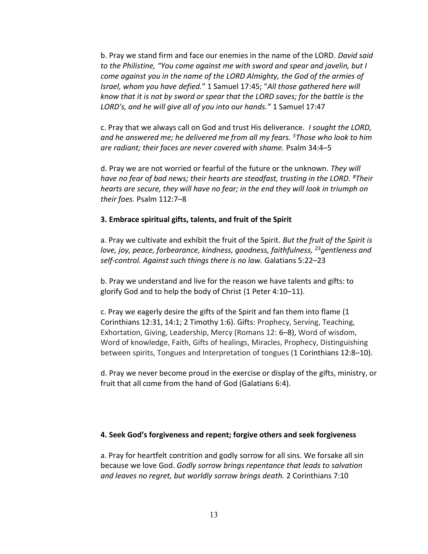b. Pray we stand firm and face our enemies in the name of the LORD. David said to the Philistine, "You come against me with sword and spear and javelin, but I come against you in the name of the LORD Almighty, the God of the armies of Israel, whom you have defied." 1 Samuel 17:45; "All those gathered here will know that it is not by sword or spear that the LORD saves; for the battle is the LORD's, and he will give all of you into our hands." 1 Samuel 17:47

c. Pray that we always call on God and trust His deliverance. I sought the LORD, and he answered me; he delivered me from all my fears. <sup>5</sup>Those who look to him are radiant; their faces are never covered with shame. Psalm 34:4–5

d. Pray we are not worried or fearful of the future or the unknown. They will have no fear of bad news; their hearts are steadfast, trusting in the LORD.  ${}^{8}$ Their hearts are secure, they will have no fear; in the end they will look in triumph on their foes. Psalm 112:7–8

#### 3. Embrace spiritual gifts, talents, and fruit of the Spirit

a. Pray we cultivate and exhibit the fruit of the Spirit. But the fruit of the Spirit is love, joy, peace, forbearance, kindness, goodness, faithfulness,  $^{23}$ gentleness and self-control. Against such things there is no law. Galatians 5:22–23

b. Pray we understand and live for the reason we have talents and gifts: to glorify God and to help the body of Christ (1 Peter 4:10–11).

c. Pray we eagerly desire the gifts of the Spirit and fan them into flame (1 Corinthians 12:31, 14:1; 2 Timothy 1:6). Gifts: Prophecy, Serving, Teaching, Exhortation, Giving, Leadership, Mercy (Romans 12: 6–8), Word of wisdom, Word of knowledge, Faith, Gifts of healings, Miracles, Prophecy, Distinguishing between spirits, Tongues and Interpretation of tongues (1 Corinthians 12:8–10).

d. Pray we never become proud in the exercise or display of the gifts, ministry, or fruit that all come from the hand of God (Galatians 6:4).

#### 4. Seek God's forgiveness and repent; forgive others and seek forgiveness

a. Pray for heartfelt contrition and godly sorrow for all sins. We forsake all sin because we love God. Godly sorrow brings repentance that leads to salvation and leaves no regret, but worldly sorrow brings death. 2 Corinthians 7:10